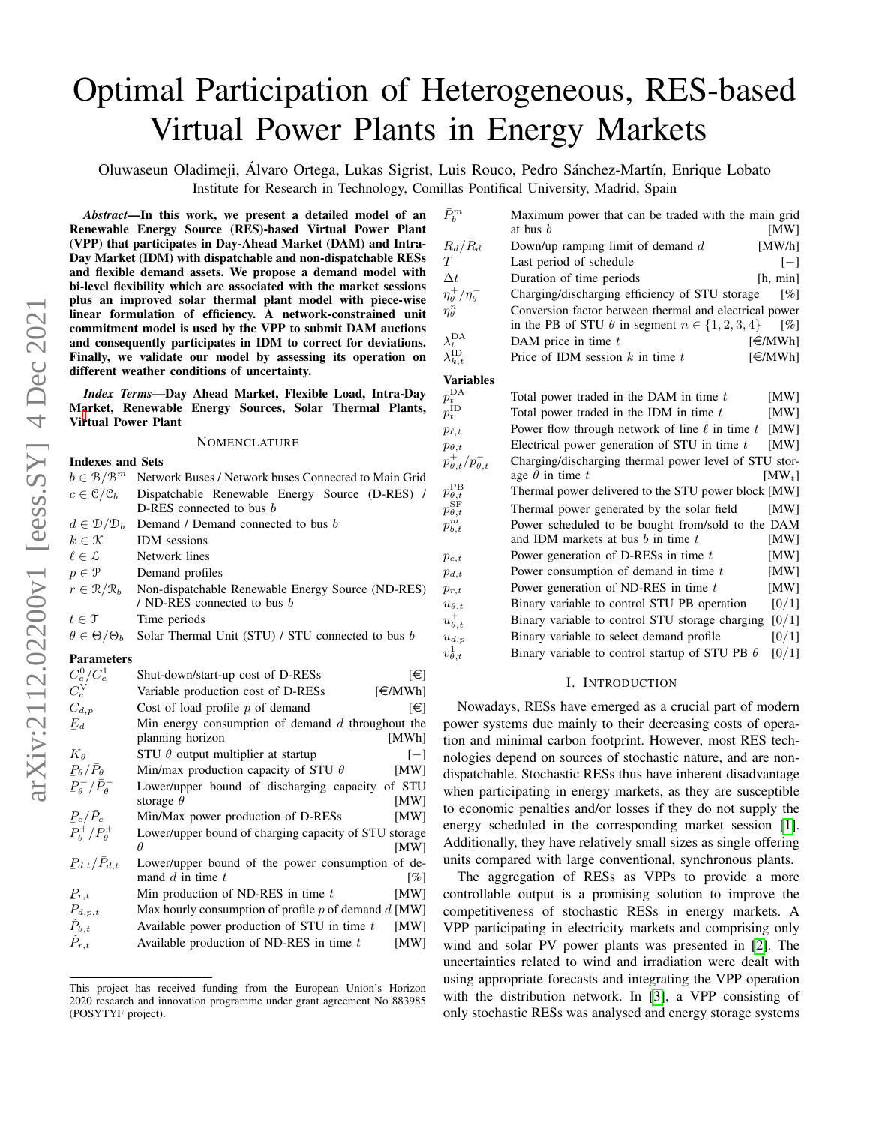# Optimal Participation of Heterogeneous, RES-based Virtual Power Plants in Energy Markets

Oluwaseun Oladimeji, Álvaro Ortega, Lukas Sigrist, Luis Rouco, Pedro Sánchez-Martín, Enrique Lobato Institute for Research in Technology, Comillas Pontifical University, Madrid, Spain

 $v^1_\theta$ 

*Abstract*—In this work, we present a detailed model of an Renewable Energy Source (RES)-based Virtual Power Plant (VPP) that participates in Day-Ahead Market (DAM) and Intra-Day Market (IDM) with dispatchable and non-dispatchable RESs and flexible demand assets. We propose a demand model with bi-level flexibility which are associated with the market sessions plus an improved solar thermal plant model with piece-wise linear formulation of efficiency. A network-constrained unit commitment model is used by the VPP to submit DAM auctions and consequently participates in IDM to correct for deviations. Finally, we validate our model by assessing its operation on different weather conditions of uncertainty.

*Index Terms*—Day Ahead Market, Flexible Load, Intra-Day M[a](#page-0-0)rket, Renewable Energy Sources, Solar Thermal Plants, Virtual Power Plant

### **NOMENCLATURE**

#### Indexes and Sets  $b \in \mathcal{B}/\mathcal{B}^m$ Network Buses / Network buses Connected to Main Grid  $c \in \mathcal{C}/\mathcal{C}_b$  Dispatchable Renewable Energy Source (D-RES) / D-RES connected to bus *b*  $d \in \mathcal{D}/\mathcal{D}_b$  Demand / Demand connected to bus b  $k \in \mathcal{K}$  IDM sessions  $\ell \in \mathcal{L}$  Network lines  $p \in \mathcal{P}$  Demand profiles  $r \in \mathcal{R}/\mathcal{R}_b$  Non-dispatchable Renewable Energy Source (ND-RES) / ND-RES connected to bus b  $t \in \mathcal{T}$  Time periods  $\theta \in \Theta/\Theta_b$  Solar Thermal Unit (STU) / STU connected to bus b Parameters  $C_c^0/C_c^1$ Shut-down/start-up cost of D-RESs  $[\in]$  $C_c^{\rm V}$  $C_c^V$  Variable production cost of D-RESs [ $\in MWh$ ]<br>  $C_{d,p}$  Cost of load profile p of demand [ $\in$ ] Cost of load profile p of demand  $[\infty]$  $\mathcal{E}_d$ Min energy consumption of demand  $d$  throughout the planning horizon [MWh]  $K_{\theta}$  STU  $\theta$  output multiplier at startup [-]<br>  $P_{\theta}/\bar{P}_{\theta}$  Min/max production capacity of STU  $\theta$  [MW]  $\frac{1}{T}$ Min/max production capacity of STU  $\theta$  [MW]  $P_{\theta}^{-}/\bar{P}_{\theta}^{-}$ Lower/upper bound of discharging capacity of STU storage  $\theta$  [MW] storage  $\theta$  $\frac{1}{r}$  $P_c/\bar{P}_c$  Min/Max power production of D-RESs [MW]  $P_{\theta}^{+}/\bar{P}_{\theta}^{+}$ Lower/upper bound of charging capacity of STU storage  $\theta$  [MW]  $\theta$  [MW]  $P_{d,t}/\bar{P}_{d,t}$ Lower/upper bound of the power consumption of demand d in time t  $[%]$  $P_{r,t}$ <br> $P_{d,p,t}$ Min production of ND-RES in time  $t$  [MW] Max hourly consumption of profile p of demand d [MW]  $\dot{P}_{\theta,t}$  Available power production of STU in time t [MW]

 $P_{r,t}$  Available production of ND-RES in time t [MW]

| $\bar{P}_b^m$                         | Maximum power that can be traded with the main grid         |                    |
|---------------------------------------|-------------------------------------------------------------|--------------------|
|                                       | at bus $b$                                                  | [MW]               |
| $R_d/\bar{R}_d$                       | Down/up ramping limit of demand $d$                         | [MW/h]             |
| T                                     | Last period of schedule                                     | $[-]$              |
| $\Delta t$                            | Duration of time periods                                    | [h, min]           |
| $\eta_{\theta}^{+}/\eta_{\theta}^{-}$ | Charging/discharging efficiency of STU storage              | $\lceil \% \rceil$ |
| $\eta_{\theta}^{n}$                   | Conversion factor between thermal and electrical power      |                    |
|                                       | in the PB of STU $\theta$ in segment $n \in \{1, 2, 3, 4\}$ | $\lceil \% \rceil$ |
| $\lambda_t^{\text{DA}}$               | DAM price in time $t$                                       | [€/MWh]            |
| $\lambda_{k,t}^{\rm ID}$              | Price of IDM session $k$ in time $t$                        | F/MWh              |
| <b>Variables</b>                      |                                                             |                    |
| $p_t^{\rm DA}$                        | Total power traded in the DAM in time t                     | [MW]               |
| $p_t^{\rm ID}$                        | Total power traded in the IDM in time $t$                   | [MW]               |
| $p_{\ell,t}$                          | Power flow through network of line $\ell$ in time t         | [MW]               |
| $p_{\theta,t}$                        | Electrical power generation of STU in time $t$              | <b>IMWI</b>        |
| $p_{\theta,t}^+/p_{\theta,t}^-$       | Charging/discharging thermal power level of STU stor-       |                    |
|                                       | age $\theta$ in time t                                      | $[MW_t]$           |
| $p_{\theta,t}^{\rm PB}$               | Thermal power delivered to the STU power block [MW]         |                    |
| $p^{\text{SF}}_{\theta,t}$            | Thermal power generated by the solar field                  | [MW]               |
| $p_{b,t}^m$                           | Power scheduled to be bought from/sold to the DAM           |                    |
|                                       | and IDM markets at bus b in time $t$                        | [MW]               |
| $p_{c,t}$                             | Power generation of D-RESs in time $t$                      | [MW]               |
| $p_{d,t}$                             | Power consumption of demand in time $t$                     | [MW]               |
| $p_{r,t}$                             | Power generation of ND-RES in time t                        | [MW]               |
| $u_{\theta,t}$                        | Binary variable to control STU PB operation                 | [0/1]              |
| $u_{\theta,t}^+$                      | Binary variable to control STU storage charging             | [0/1]              |
| $u_{d,p}$                             | Binary variable to select demand profile                    | [0/1]              |

# Binary variable to control startup of STU PB  $\theta$  [0/1]

#### I. INTRODUCTION

Nowadays, RESs have emerged as a crucial part of modern power systems due mainly to their decreasing costs of operation and minimal carbon footprint. However, most RES technologies depend on sources of stochastic nature, and are nondispatchable. Stochastic RESs thus have inherent disadvantage when participating in energy markets, as they are susceptible to economic penalties and/or losses if they do not supply the energy scheduled in the corresponding market session [\[1\]](#page-6-0). Additionally, they have relatively small sizes as single offering units compared with large conventional, synchronous plants.

The aggregation of RESs as VPPs to provide a more controllable output is a promising solution to improve the competitiveness of stochastic RESs in energy markets. A VPP participating in electricity markets and comprising only wind and solar PV power plants was presented in [\[2\]](#page-6-1). The uncertainties related to wind and irradiation were dealt with using appropriate forecasts and integrating the VPP operation with the distribution network. In [\[3\]](#page-6-2), a VPP consisting of only stochastic RESs was analysed and energy storage systems

<span id="page-0-0"></span>This project has received funding from the European Union's Horizon 2020 research and innovation programme under grant agreement No 883985 (POSYTYF project).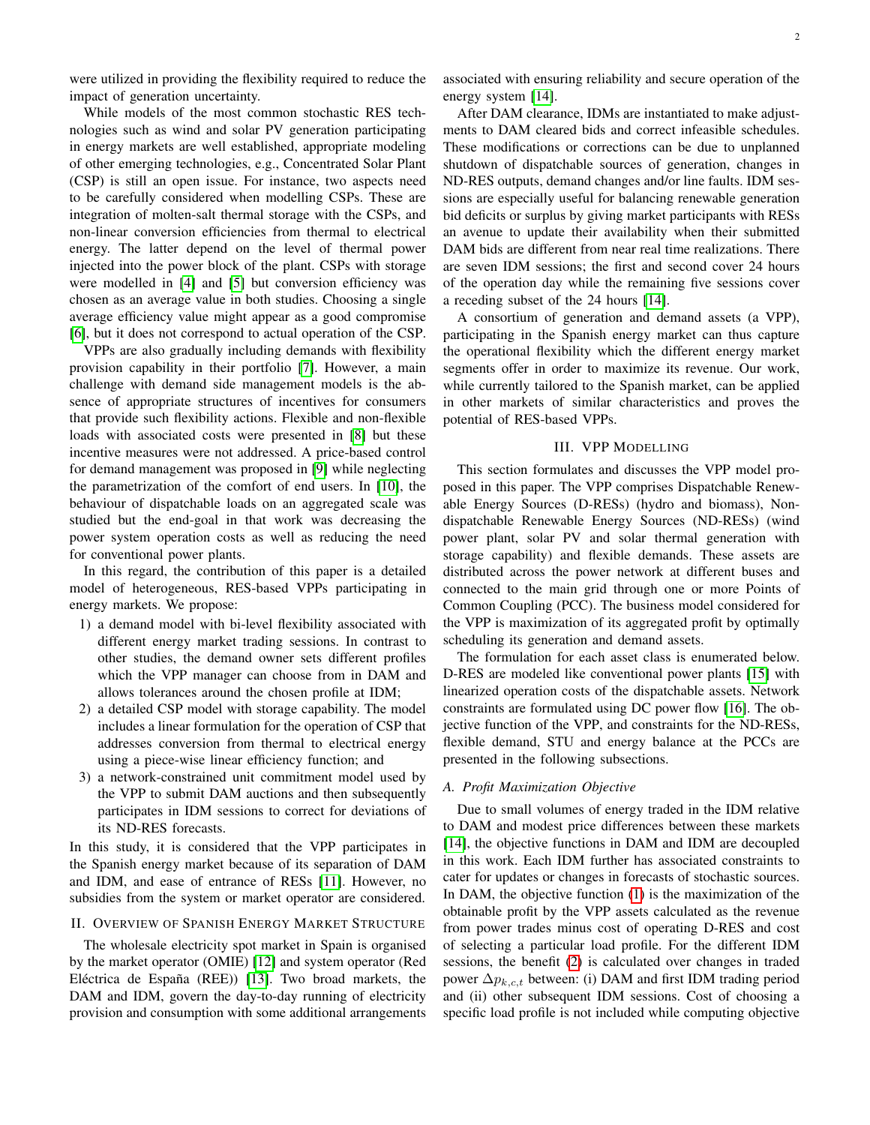were utilized in providing the flexibility required to reduce the impact of generation uncertainty.

While models of the most common stochastic RES technologies such as wind and solar PV generation participating in energy markets are well established, appropriate modeling of other emerging technologies, e.g., Concentrated Solar Plant (CSP) is still an open issue. For instance, two aspects need to be carefully considered when modelling CSPs. These are integration of molten-salt thermal storage with the CSPs, and non-linear conversion efficiencies from thermal to electrical energy. The latter depend on the level of thermal power injected into the power block of the plant. CSPs with storage were modelled in [\[4\]](#page-6-3) and [\[5\]](#page-6-4) but conversion efficiency was chosen as an average value in both studies. Choosing a single average efficiency value might appear as a good compromise [\[6\]](#page-6-5), but it does not correspond to actual operation of the CSP.

VPPs are also gradually including demands with flexibility provision capability in their portfolio [\[7\]](#page-6-6). However, a main challenge with demand side management models is the absence of appropriate structures of incentives for consumers that provide such flexibility actions. Flexible and non-flexible loads with associated costs were presented in [\[8\]](#page-6-7) but these incentive measures were not addressed. A price-based control for demand management was proposed in [\[9\]](#page-6-8) while neglecting the parametrization of the comfort of end users. In [\[10\]](#page-6-9), the behaviour of dispatchable loads on an aggregated scale was studied but the end-goal in that work was decreasing the power system operation costs as well as reducing the need for conventional power plants.

In this regard, the contribution of this paper is a detailed model of heterogeneous, RES-based VPPs participating in energy markets. We propose:

- 1) a demand model with bi-level flexibility associated with different energy market trading sessions. In contrast to other studies, the demand owner sets different profiles which the VPP manager can choose from in DAM and allows tolerances around the chosen profile at IDM;
- 2) a detailed CSP model with storage capability. The model includes a linear formulation for the operation of CSP that addresses conversion from thermal to electrical energy using a piece-wise linear efficiency function; and
- 3) a network-constrained unit commitment model used by the VPP to submit DAM auctions and then subsequently participates in IDM sessions to correct for deviations of its ND-RES forecasts.

In this study, it is considered that the VPP participates in the Spanish energy market because of its separation of DAM and IDM, and ease of entrance of RESs [\[11\]](#page-6-10). However, no subsidies from the system or market operator are considered.

# <span id="page-1-0"></span>II. OVERVIEW OF SPANISH ENERGY MARKET STRUCTURE

The wholesale electricity spot market in Spain is organised by the market operator (OMIE) [\[12\]](#page-6-11) and system operator (Red Eléctrica de España (REE)) [\[13\]](#page-6-12). Two broad markets, the DAM and IDM, govern the day-to-day running of electricity provision and consumption with some additional arrangements associated with ensuring reliability and secure operation of the energy system [\[14\]](#page-6-13).

After DAM clearance, IDMs are instantiated to make adjustments to DAM cleared bids and correct infeasible schedules. These modifications or corrections can be due to unplanned shutdown of dispatchable sources of generation, changes in ND-RES outputs, demand changes and/or line faults. IDM sessions are especially useful for balancing renewable generation bid deficits or surplus by giving market participants with RESs an avenue to update their availability when their submitted DAM bids are different from near real time realizations. There are seven IDM sessions; the first and second cover 24 hours of the operation day while the remaining five sessions cover a receding subset of the 24 hours [\[14\]](#page-6-13).

A consortium of generation and demand assets (a VPP), participating in the Spanish energy market can thus capture the operational flexibility which the different energy market segments offer in order to maximize its revenue. Our work, while currently tailored to the Spanish market, can be applied in other markets of similar characteristics and proves the potential of RES-based VPPs.

# III. VPP MODELLING

<span id="page-1-1"></span>This section formulates and discusses the VPP model proposed in this paper. The VPP comprises Dispatchable Renewable Energy Sources (D-RESs) (hydro and biomass), Nondispatchable Renewable Energy Sources (ND-RESs) (wind power plant, solar PV and solar thermal generation with storage capability) and flexible demands. These assets are distributed across the power network at different buses and connected to the main grid through one or more Points of Common Coupling (PCC). The business model considered for the VPP is maximization of its aggregated profit by optimally scheduling its generation and demand assets.

The formulation for each asset class is enumerated below. D-RES are modeled like conventional power plants [\[15\]](#page-6-14) with linearized operation costs of the dispatchable assets. Network constraints are formulated using DC power flow [\[16\]](#page-6-15). The objective function of the VPP, and constraints for the ND-RESs, flexible demand, STU and energy balance at the PCCs are presented in the following subsections.

### *A. Profit Maximization Objective*

Due to small volumes of energy traded in the IDM relative to DAM and modest price differences between these markets [\[14\]](#page-6-13), the objective functions in DAM and IDM are decoupled in this work. Each IDM further has associated constraints to cater for updates or changes in forecasts of stochastic sources. In DAM, the objective function [\(1\)](#page-2-0) is the maximization of the obtainable profit by the VPP assets calculated as the revenue from power trades minus cost of operating D-RES and cost of selecting a particular load profile. For the different IDM sessions, the benefit [\(2\)](#page-2-1) is calculated over changes in traded power  $\Delta p_{k,c,t}$  between: (i) DAM and first IDM trading period and (ii) other subsequent IDM sessions. Cost of choosing a specific load profile is not included while computing objective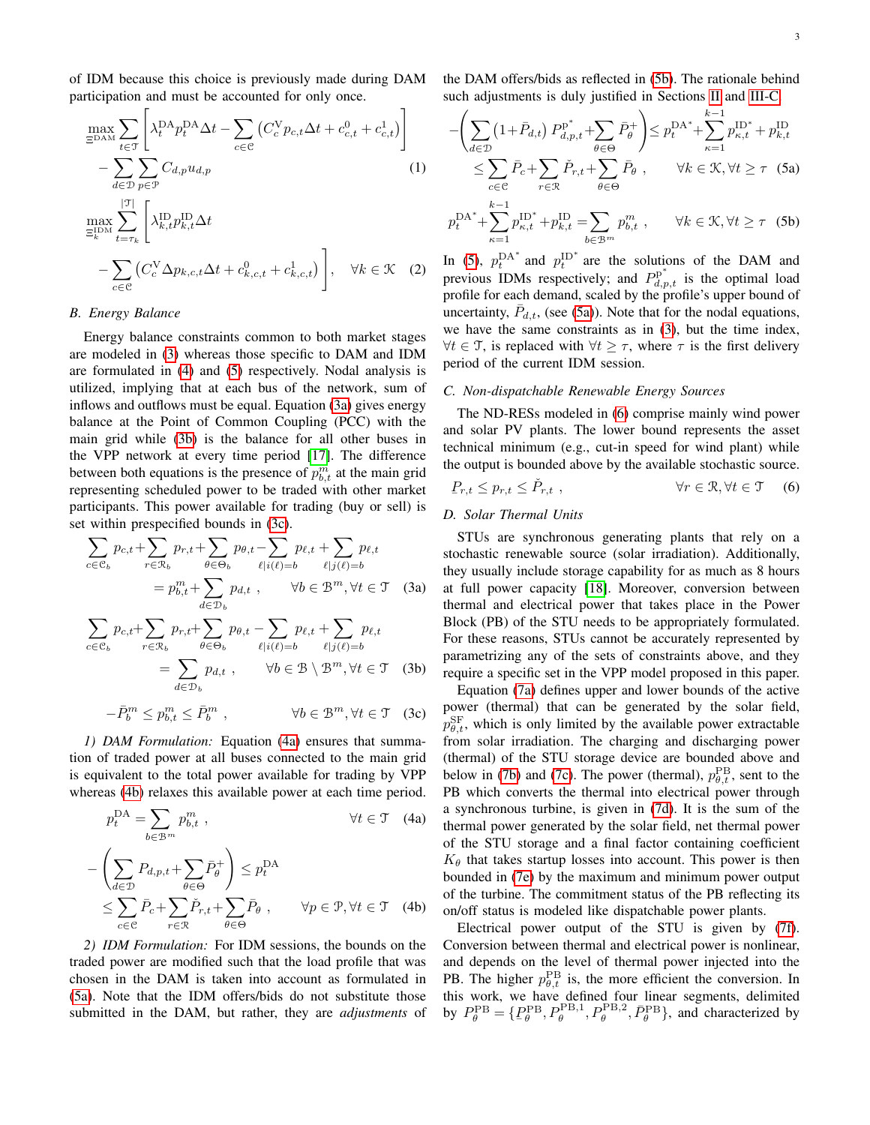of IDM because this choice is previously made during DAM participation and must be accounted for only once.

$$
\max_{\substack{\text{max} \\ \text{max}}} \sum_{t \in \mathcal{T}} \left[ \lambda_t^{\text{DA}} p_t^{\text{DA}} \Delta t - \sum_{c \in \mathcal{C}} \left( C_c^{\text{V}} p_{c,t} \Delta t + c_{c,t}^0 + c_{c,t}^1 \right) \right] - \sum_{d \in \mathcal{D}} \sum_{p \in \mathcal{P}} C_{d,p} u_{d,p} \tag{1}
$$
\n
$$
\max_{\substack{\text{min} \\ \text{min} \\ \text{max}}} \sum_{t = \tau_k}^{|\mathcal{T}|} \left[ \lambda_{k,t}^{\text{ID}} p_{k,t}^{\text{ID}} \Delta t + \sum_{c \in \mathcal{C}} \left( C_c^{\text{V}} \Delta p_{k,c,t} \Delta t + c_{k,c,t}^0 + c_{k,c,t}^1 \right) \right], \quad \forall k \in \mathcal{K} \quad (2)
$$

# *B. Energy Balance*

Energy balance constraints common to both market stages are modeled in [\(3\)](#page-2-2) whereas those specific to DAM and IDM are formulated in [\(4\)](#page-2-3) and [\(5\)](#page-2-4) respectively. Nodal analysis is utilized, implying that at each bus of the network, sum of inflows and outflows must be equal. Equation [\(3a\)](#page-2-5) gives energy balance at the Point of Common Coupling (PCC) with the main grid while [\(3b\)](#page-2-6) is the balance for all other buses in the VPP network at every time period [\[17\]](#page-6-16). The difference between both equations is the presence of  $p_{b,t}^m$  at the main grid representing scheduled power to be traded with other market participants. This power available for trading (buy or sell) is set within prespecified bounds in [\(3c\)](#page-2-7).

$$
\sum_{c \in \mathcal{C}_b} p_{c,t} + \sum_{r \in \mathcal{R}_b} p_{r,t} + \sum_{\theta \in \Theta_b} p_{\theta,t} - \sum_{\ell \mid i(\ell) = b} p_{\ell,t} + \sum_{\ell \mid j(\ell) = b} p_{\ell,t}
$$

$$
= p_{b,t}^m + \sum_{d \in \mathcal{D}_b} p_{d,t} , \qquad \forall b \in \mathcal{B}^m, \forall t \in \mathcal{T} \quad (3a)
$$

$$
\sum_{c \in \mathcal{C}_b} p_{c,t} + \sum_{r \in \mathcal{R}_b} p_{r,t} + \sum_{\theta \in \Theta_b} p_{\theta,t} - \sum_{\ell \mid i(\ell) = b} p_{\ell,t} + \sum_{\ell \mid j(\ell) = b} p_{\ell,t}
$$

$$
= \sum_{d \in \mathcal{D}_b} p_{d,t} , \qquad \forall b \in \mathcal{B} \setminus \mathcal{B}^m, \forall t \in \mathcal{T} \quad (3b)
$$

$$
-\bar{P}_b^m \le p_{b,t}^m \le \bar{P}_b^m , \qquad \forall b \in \mathcal{B}^m, \forall t \in \mathcal{T} \quad (3c)
$$

*1) DAM Formulation:* Equation [\(4a\)](#page-2-8) ensures that summation of traded power at all buses connected to the main grid is equivalent to the total power available for trading by VPP whereas [\(4b\)](#page-2-9) relaxes this available power at each time period.

<span id="page-2-3"></span>
$$
p_t^{\text{DA}} = \sum_{b \in \mathcal{B}^m} p_{b,t}^m, \qquad \forall t \in \mathcal{T} \quad (4a)
$$

$$
-\left(\sum_{d \in \mathcal{D}} P_{d,p,t} + \sum_{\theta \in \Theta} \bar{P}_{\theta}^+\right) \le p_t^{\text{DA}}
$$

$$
\le \sum_{c \in \mathcal{C}} \bar{P}_c + \sum_{r \in \mathcal{R}} \check{P}_{r,t} + \sum_{\theta \in \Theta} \bar{P}_{\theta}, \qquad \forall p \in \mathcal{P}, \forall t \in \mathcal{T} \quad (4b)
$$

*2) IDM Formulation:* For IDM sessions, the bounds on the traded power are modified such that the load profile that was chosen in the DAM is taken into account as formulated in [\(5a\)](#page-2-10). Note that the IDM offers/bids do not substitute those submitted in the DAM, but rather, they are *adjustments* of the DAM offers/bids as reflected in [\(5b\)](#page-2-11). The rationale behind such adjustments is duly justified in Sections [II](#page-1-0) and [III-C.](#page-2-12)

<span id="page-2-10"></span><span id="page-2-4"></span><span id="page-2-0"></span>
$$
-\left(\sum_{d\in\mathcal{D}}\left(1+\bar{P}_{d,t}\right)P_{d,p,t}^{\mathbf{p}^*}+\sum_{\theta\in\Theta}\bar{P}_{\theta}^+\right)\leq p_t^{\mathbf{D}\mathbf{A}^*}+\sum_{\kappa=1}^{k-1}p_{\kappa,t}^{\mathbf{D}^*}+p_{k,t}^{\mathbf{D}}\\ \leq \sum_{c\in\mathcal{C}}\bar{P}_c+\sum_{r\in\mathcal{R}}\check{P}_{r,t}+\sum_{\theta\in\Theta}\bar{P}_{\theta} , \qquad \forall k\in\mathcal{K}, \forall t\geq\tau \quad (5a)
$$

<span id="page-2-11"></span>
$$
p_t^{\text{DA}^*} + \sum_{\kappa=1}^{k-1} p_{\kappa,t}^{\text{ID}^*} + p_{k,t}^{\text{ID}} = \sum_{b \in \mathcal{B}^m} p_{b,t}^m , \qquad \forall k \in \mathcal{K}, \forall t \ge \tau \quad (5b)
$$

<span id="page-2-1"></span>In [\(5\)](#page-2-4),  $p_t^{DA^*}$  and  $p_t^{ID^*}$  are the solutions of the DAM and previous IDMs respectively; and  $P_{d,p,t}^{p^*}$  is the optimal load profile for each demand, scaled by the profile's upper bound of uncertainty,  $\bar{P}_{d,t}$ , (see [\(5a\)](#page-2-10)). Note that for the nodal equations, we have the same constraints as in [\(3\)](#page-2-2), but the time index,  $\forall t \in \mathcal{T}$ , is replaced with  $\forall t \geq \tau$ , where  $\tau$  is the first delivery period of the current IDM session.

#### <span id="page-2-12"></span>*C. Non-dispatchable Renewable Energy Sources*

The ND-RESs modeled in [\(6\)](#page-2-13) comprise mainly wind power and solar PV plants. The lower bound represents the asset technical minimum (e.g., cut-in speed for wind plant) while the output is bounded above by the available stochastic source.

<span id="page-2-13"></span>
$$
P_{r,t} \le p_{r,t} \le \check{P}_{r,t} , \qquad \forall r \in \mathcal{R}, \forall t \in \mathcal{T} \quad (6)
$$

#### <span id="page-2-2"></span>*D. Solar Thermal Units*

<span id="page-2-5"></span>STUs are synchronous generating plants that rely on a stochastic renewable source (solar irradiation). Additionally, they usually include storage capability for as much as 8 hours at full power capacity [\[18\]](#page-6-17). Moreover, conversion between thermal and electrical power that takes place in the Power Block (PB) of the STU needs to be appropriately formulated. For these reasons, STUs cannot be accurately represented by parametrizing any of the sets of constraints above, and they require a specific set in the VPP model proposed in this paper.

<span id="page-2-7"></span><span id="page-2-6"></span>Equation [\(7a\)](#page-3-0) defines upper and lower bounds of the active power (thermal) that can be generated by the solar field,  $p_{\theta,t}^{\text{SF}}$ , which is only limited by the available power extractable from solar irradiation. The charging and discharging power (thermal) of the STU storage device are bounded above and below in [\(7b\)](#page-3-1) and [\(7c\)](#page-3-2). The power (thermal),  $p_{\theta,t}^{\text{PB}}$ , sent to the PB which converts the thermal into electrical power through a synchronous turbine, is given in [\(7d\)](#page-3-3). It is the sum of the thermal power generated by the solar field, net thermal power of the STU storage and a final factor containing coefficient  $K_{\theta}$  that takes startup losses into account. This power is then bounded in [\(7e\)](#page-3-4) by the maximum and minimum power output of the turbine. The commitment status of the PB reflecting its on/off status is modeled like dispatchable power plants.

<span id="page-2-9"></span><span id="page-2-8"></span>Electrical power output of the STU is given by [\(7f\)](#page-3-5). Conversion between thermal and electrical power is nonlinear, and depends on the level of thermal power injected into the PB. The higher  $p_{\theta,t}^{\text{PB}}$  is, the more efficient the conversion. In this work, we have defined four linear segments, delimited by  $P_{\theta}^{\text{PB}} = \{P_{\theta}^{\text{PB}}, P_{\theta}^{\text{PB},1}, P_{\theta}^{\text{PB},2}, \bar{P}_{\theta}^{\text{PB}}\}\$ , and characterized by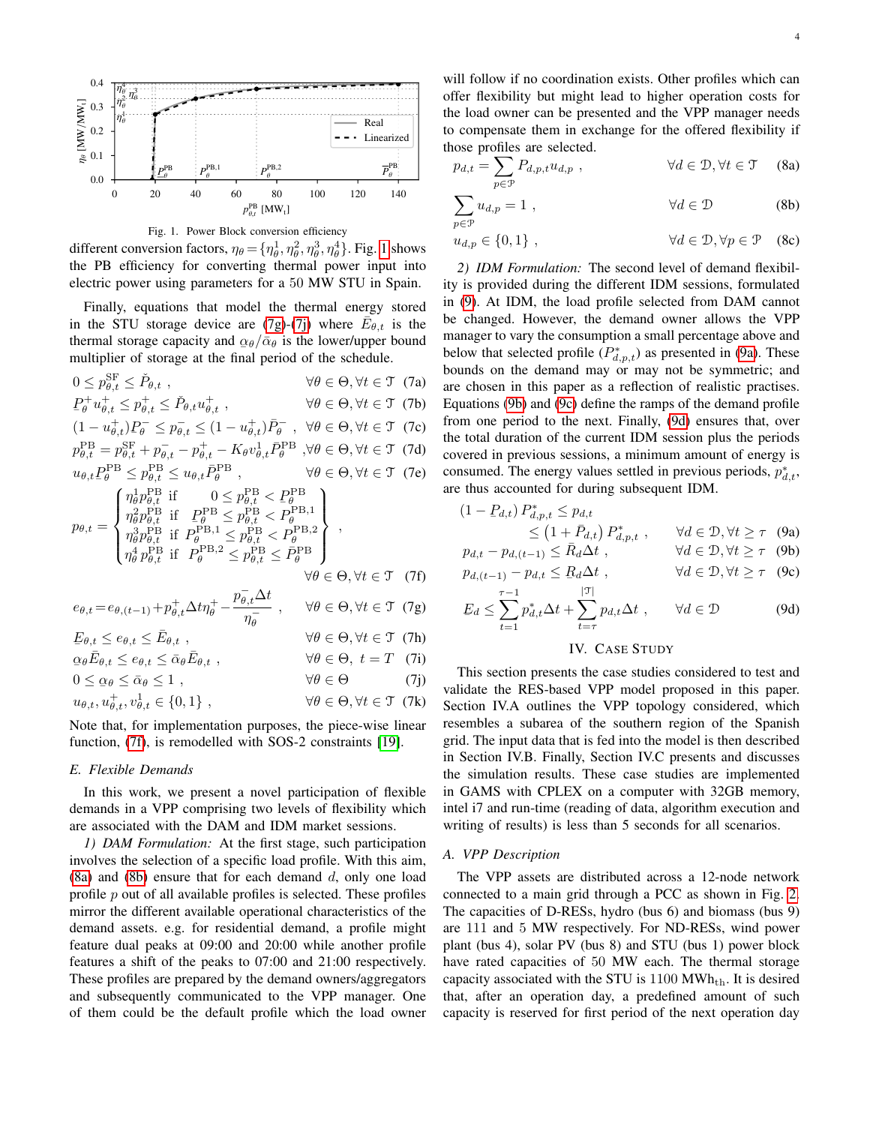

<span id="page-3-6"></span>Fig. 1. Power Block conversion efficiency

different conversion factors,  $\eta_{\theta} = {\eta_{\theta}^1, \eta_{\theta}^2, \eta_{\theta}^3, \eta_{\theta}^4}$ . Fig. [1](#page-3-6) shows the PB efficiency for converting thermal power input into electric power using parameters for a 50 MW STU in Spain.

Finally, equations that model the thermal energy stored in the STU storage device are [\(7g\)](#page-3-7)-[\(7j\)](#page-3-8) where  $\overline{E}_{\theta,t}$  is the thermal storage capacity and  $\alpha_{\theta}/\bar{\alpha}_{\theta}$  is the lower/upper bound multiplier of storage at the final period of the schedule.

 $0 \leq p_{\theta,t}^{\text{SF}} \leq \check{P}_{0}$  $\forall \theta \in \Theta, \forall t \in \mathcal{T}$  (7a)

 $P_{\theta}^+ u_{\theta,t}^+ \leq p_{\theta,t}^+ \leq \check{P}_{\theta,t} u_{\theta,t}^+$  $\stackrel{+}{\theta,t}$ ,  $\forall \theta \in \Theta, \forall t \in \mathcal{T}$  (7b)  $+$  \p - < n<sup>-</sup> +

$$
(1 - u_{\theta, t}^+) P_\theta^- \le p_{\theta, t}^- \le (1 - u_{\theta, t}^+) \bar{P}_\theta^- , \ \forall \theta \in \Theta, \forall t \in \mathcal{T} \text{ (7c)}
$$
  

$$
P_\theta^{\text{PB}} - P_\theta^{\text{SF}} + P_\theta^- = P_\theta^+ - K_\theta u^{\text{LP}} \bar{P}_\theta^{\text{PB}} \ \forall \theta \in \Theta \ \forall t \in \mathcal{T} \text{ (7d)}
$$

$$
p_{\theta,t}^{\text{PB}} = p_{\theta,t}^{\text{SF}} + p_{\theta,t}^- - p_{\theta,t}^+ - K_{\theta} v_{\theta,t}^1 \bar{P}_{\theta}^{\text{PB}} , \forall \theta \in \Theta, \forall t \in \mathcal{T} \tag{7d}
$$
  

$$
u_{\theta,t} P_{\theta}^{\text{PB}} \le p_{\theta,t}^{\text{PB}} \le u_{\theta,t} \bar{P}_{\theta}^{\text{PB}} , \qquad \forall \theta \in \Theta, \forall t \in \mathcal{T} \tag{7e}
$$

$$
p_{\theta,t} = \begin{cases} \eta_{\theta}^{1} p_{\theta,t}^{\text{B B}} & \text{if } 0 \leq p_{\theta,t}^{\text{PB}} < P_{\theta}^{\text{PB}} \\ \eta_{\theta}^{2} p_{\theta,t}^{\text{BB}} & \text{if } P_{\theta}^{\text{B B}} \leq p_{\theta,t}^{\text{B B}} < P_{\theta}^{\text{PB,1}} \\ \eta_{\theta}^{3} p_{\theta,t}^{\text{B B}} & \text{if } P_{\theta}^{\text{PB,1}} \leq p_{\theta,t}^{\text{PB}} < P_{\theta}^{\text{PB,2}} \\ \eta_{\theta}^{4} p_{\theta,t}^{\text{BB}} & \text{if } P_{\theta}^{\text{PB,2}} \leq p_{\theta,t}^{\text{PB}} \leq \bar{P}_{\theta}^{\text{PB}} \end{cases},
$$
\n
$$
\forall \theta \in \Theta, \forall t \in \mathcal{T} \quad (7f)
$$

$$
e_{\theta,t} = e_{\theta,(t-1)} + p_{\theta,t}^+ \Delta t \eta_{\theta}^+ - \frac{p_{\theta,t}^- \Delta t}{\eta_{\theta}^-} , \qquad \forall \theta \in \Theta, \forall t \in \mathcal{T} \tag{7g}
$$

 $\begin{split} \Xi^{\boldsymbol{\theta},t} \supseteq \Xi^{\boldsymbol{\theta},t} \supseteq \Xi^{\boldsymbol{\theta},t} \;, \ \varrho_{\theta} \bar{E}_{\theta,t} \leq e_{\theta,t} \leq \bar{\alpha}_{\theta} \bar{E} \end{split}$  $E_{\theta,t} \le e_{\theta,t} \le \bar{E}_{\theta,t}$ ,  $\forall \theta \in \Theta, \forall t \in \mathcal{T}$  (7h) َ ا⊾<br>∘  $\forall \theta \in \Theta$ ,  $t = T$  (7i)  $0 \le \alpha_{\theta} \le \bar{\alpha}_{\theta} \le 1$ ,  $\forall \theta \in \Theta$  (7j)  $u_{\theta,t}, u_{\theta,t}^+, v_{\theta}^1$  $\forall \theta \in \Theta, \forall t \in \mathcal{T}$  (7k)

Note that, for implementation purposes, the piece-wise linear function, [\(7f\)](#page-3-5), is remodelled with SOS-2 constraints [\[19\]](#page-6-18).

#### *E. Flexible Demands*

In this work, we present a novel participation of flexible demands in a VPP comprising two levels of flexibility which are associated with the DAM and IDM market sessions.

*1) DAM Formulation:* At the first stage, such participation involves the selection of a specific load profile. With this aim,  $(8a)$  and  $(8b)$  ensure that for each demand d, only one load profile  $p$  out of all available profiles is selected. These profiles mirror the different available operational characteristics of the demand assets. e.g. for residential demand, a profile might feature dual peaks at 09:00 and 20:00 while another profile features a shift of the peaks to 07:00 and 21:00 respectively. These profiles are prepared by the demand owners/aggregators and subsequently communicated to the VPP manager. One of them could be the default profile which the load owner

will follow if no coordination exists. Other profiles which can offer flexibility but might lead to higher operation costs for the load owner can be presented and the VPP manager needs to compensate them in exchange for the offered flexibility if those profiles are selected.

<span id="page-3-10"></span><span id="page-3-9"></span>
$$
p_{d,t} = \sum_{p \in \mathcal{P}} P_{d,p,t} u_{d,p} , \qquad \forall d \in \mathcal{D}, \forall t \in \mathcal{T} \quad (8a)
$$

$$
\sum_{p \in \mathcal{P}} u_{d,p} = 1 , \qquad \forall d \in \mathcal{D} \qquad (8b)
$$

 $u_{d,p} \in \{0,1\}, \qquad \forall d \in \mathcal{D}, \forall p \in \mathcal{P} \quad (8c)$ 

<span id="page-3-0"></span>*2) IDM Formulation:* The second level of demand flexibility is provided during the different IDM sessions, formulated in [\(9\)](#page-3-11). At IDM, the load profile selected from DAM cannot be changed. However, the demand owner allows the VPP manager to vary the consumption a small percentage above and below that selected profile  $(P_{d,p,t}^*)$  as presented in [\(9a\)](#page-3-12). These bounds on the demand may or may not be symmetric; and are chosen in this paper as a reflection of realistic practises. Equations [\(9b\)](#page-3-13) and [\(9c\)](#page-3-14) define the ramps of the demand profile from one period to the next. Finally, [\(9d\)](#page-3-15) ensures that, over the total duration of the current IDM session plus the periods covered in previous sessions, a minimum amount of energy is consumed. The energy values settled in previous periods,  $p_{d,t}^*$ , are thus accounted for during subsequent IDM.

<span id="page-3-4"></span><span id="page-3-3"></span><span id="page-3-2"></span><span id="page-3-1"></span>
$$
(1 - P_{d,t}) P_{d,p,t}^* \le p_{d,t}
$$
  
\n
$$
\le (1 + \bar{P}_{d,t}) P_{d,p,t}^*, \qquad \forall d \in \mathcal{D}, \forall t \ge \tau \quad (9a)
$$
  
\n
$$
p_{d,t} - p_{d,(t-1)} \le \bar{R}_d \Delta t , \qquad \forall d \in \mathcal{D}, \forall t \ge \tau \quad (9b)
$$

<span id="page-3-5"></span>
$$
p_{d,(t-1)} - p_{d,t} \leq B_d \Delta t, \qquad \forall d \in \mathcal{D}, \forall t \geq \tau \quad (9c)
$$

<span id="page-3-7"></span>
$$
E_d \le \sum_{l=1}^{\tau-1} p_{d,t}^* \Delta t + \sum_{l=1}^{|\mathcal{T}|} p_{d,t} \Delta t , \qquad \forall d \in \mathcal{D}
$$
 (9d)

#### $t=1$  $p_{d,t}^* \Delta t + \sum$  $t=\tau$  $p_{d,t}\Delta t$ ,  $\forall d \in \mathcal{D}$  (9d)

# <span id="page-3-15"></span><span id="page-3-14"></span><span id="page-3-13"></span><span id="page-3-12"></span><span id="page-3-11"></span>IV. CASE STUDY

<span id="page-3-16"></span><span id="page-3-8"></span>This section presents the case studies considered to test and validate the RES-based VPP model proposed in this paper. Section IV.A outlines the VPP topology considered, which resembles a subarea of the southern region of the Spanish grid. The input data that is fed into the model is then described in Section IV.B. Finally, Section IV.C presents and discusses the simulation results. These case studies are implemented in GAMS with CPLEX on a computer with 32GB memory, intel i7 and run-time (reading of data, algorithm execution and writing of results) is less than 5 seconds for all scenarios.

# *A. VPP Description*

The VPP assets are distributed across a 12-node network connected to a main grid through a PCC as shown in Fig. [2.](#page-4-0) The capacities of D-RESs, hydro (bus 6) and biomass (bus 9) are 111 and 5 MW respectively. For ND-RESs, wind power plant (bus 4), solar PV (bus 8) and STU (bus 1) power block have rated capacities of 50 MW each. The thermal storage capacity associated with the STU is  $1100 \text{ MWh}_{th}$ . It is desired that, after an operation day, a predefined amount of such capacity is reserved for first period of the next operation day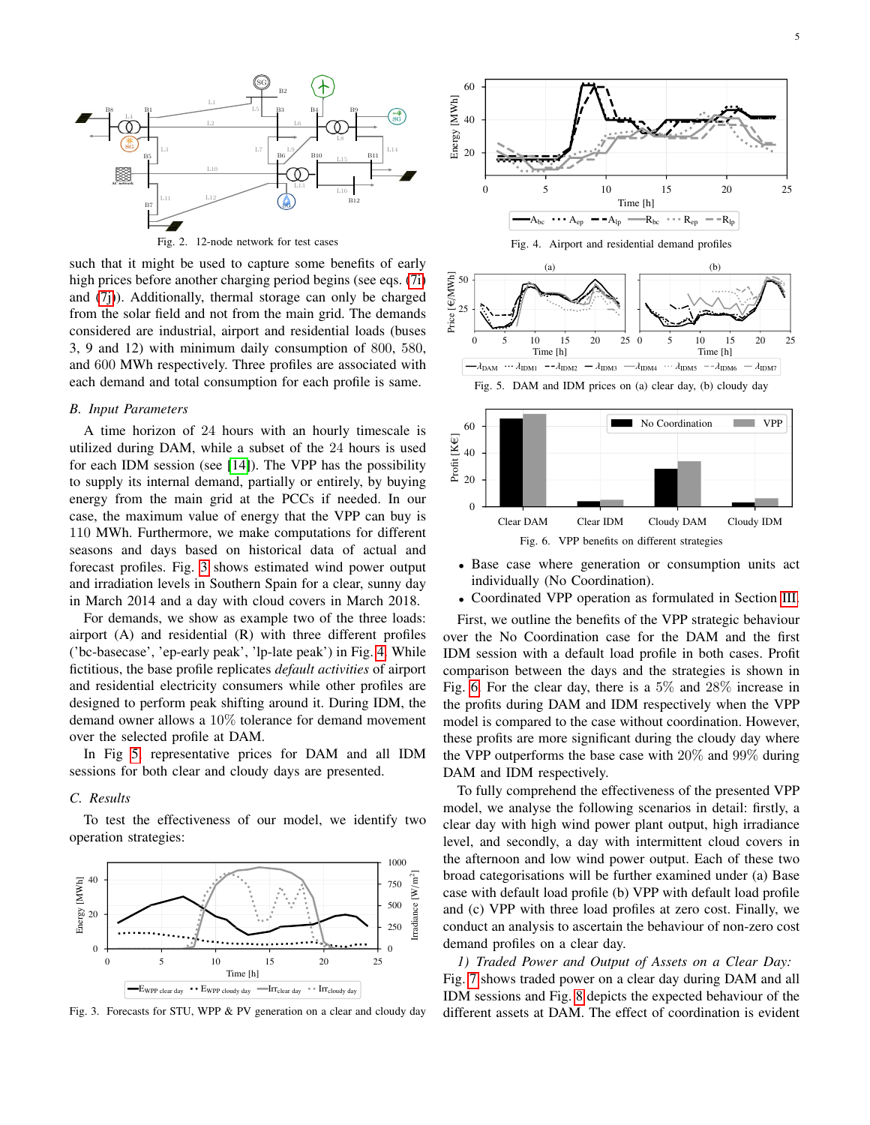

<span id="page-4-0"></span>Fig. 2. 12-node network for test cases

such that it might be used to capture some benefits of early high prices before another charging period begins (see eqs. [\(7i\)](#page-3-16) and [\(7j\)](#page-3-8)). Additionally, thermal storage can only be charged from the solar field and not from the main grid. The demands considered are industrial, airport and residential loads (buses 3, 9 and 12) with minimum daily consumption of 800, 580, and 600 MWh respectively. Three profiles are associated with each demand and total consumption for each profile is same.

# *B. Input Parameters*

A time horizon of 24 hours with an hourly timescale is utilized during DAM, while a subset of the 24 hours is used for each IDM session (see [\[14\]](#page-6-13)). The VPP has the possibility to supply its internal demand, partially or entirely, by buying energy from the main grid at the PCCs if needed. In our case, the maximum value of energy that the VPP can buy is 110 MWh. Furthermore, we make computations for different seasons and days based on historical data of actual and forecast profiles. Fig. [3](#page-4-1) shows estimated wind power output and irradiation levels in Southern Spain for a clear, sunny day in March 2014 and a day with cloud covers in March 2018.

For demands, we show as example two of the three loads: airport (A) and residential (R) with three different profiles ('bc-basecase', 'ep-early peak', 'lp-late peak') in Fig. [4.](#page-4-2) While fictitious, the base profile replicates *default activities* of airport and residential electricity consumers while other profiles are designed to perform peak shifting around it. During IDM, the demand owner allows a 10% tolerance for demand movement over the selected profile at DAM.

In Fig [5,](#page-4-3) representative prices for DAM and all IDM sessions for both clear and cloudy days are presented.

# *C. Results*

To test the effectiveness of our model, we identify two operation strategies:



<span id="page-4-1"></span>Fig. 3. Forecasts for STU, WPP & PV generation on a clear and cloudy day

<span id="page-4-2"></span>

<span id="page-4-4"></span><span id="page-4-3"></span>Fig. 6. VPP benefits on different strategies

- Base case where generation or consumption units act individually (No Coordination).
- Coordinated VPP operation as formulated in Section [III.](#page-1-1)

First, we outline the benefits of the VPP strategic behaviour over the No Coordination case for the DAM and the first IDM session with a default load profile in both cases. Profit comparison between the days and the strategies is shown in Fig. [6.](#page-4-4) For the clear day, there is a 5% and 28% increase in the profits during DAM and IDM respectively when the VPP model is compared to the case without coordination. However, these profits are more significant during the cloudy day where the VPP outperforms the base case with 20% and 99% during DAM and IDM respectively.

To fully comprehend the effectiveness of the presented VPP model, we analyse the following scenarios in detail: firstly, a clear day with high wind power plant output, high irradiance level, and secondly, a day with intermittent cloud covers in the afternoon and low wind power output. Each of these two broad categorisations will be further examined under (a) Base case with default load profile (b) VPP with default load profile and (c) VPP with three load profiles at zero cost. Finally, we conduct an analysis to ascertain the behaviour of non-zero cost demand profiles on a clear day.

*1) Traded Power and Output of Assets on a Clear Day:* Fig. [7](#page-5-0) shows traded power on a clear day during DAM and all IDM sessions and Fig. [8](#page-5-1) depicts the expected behaviour of the different assets at DAM. The effect of coordination is evident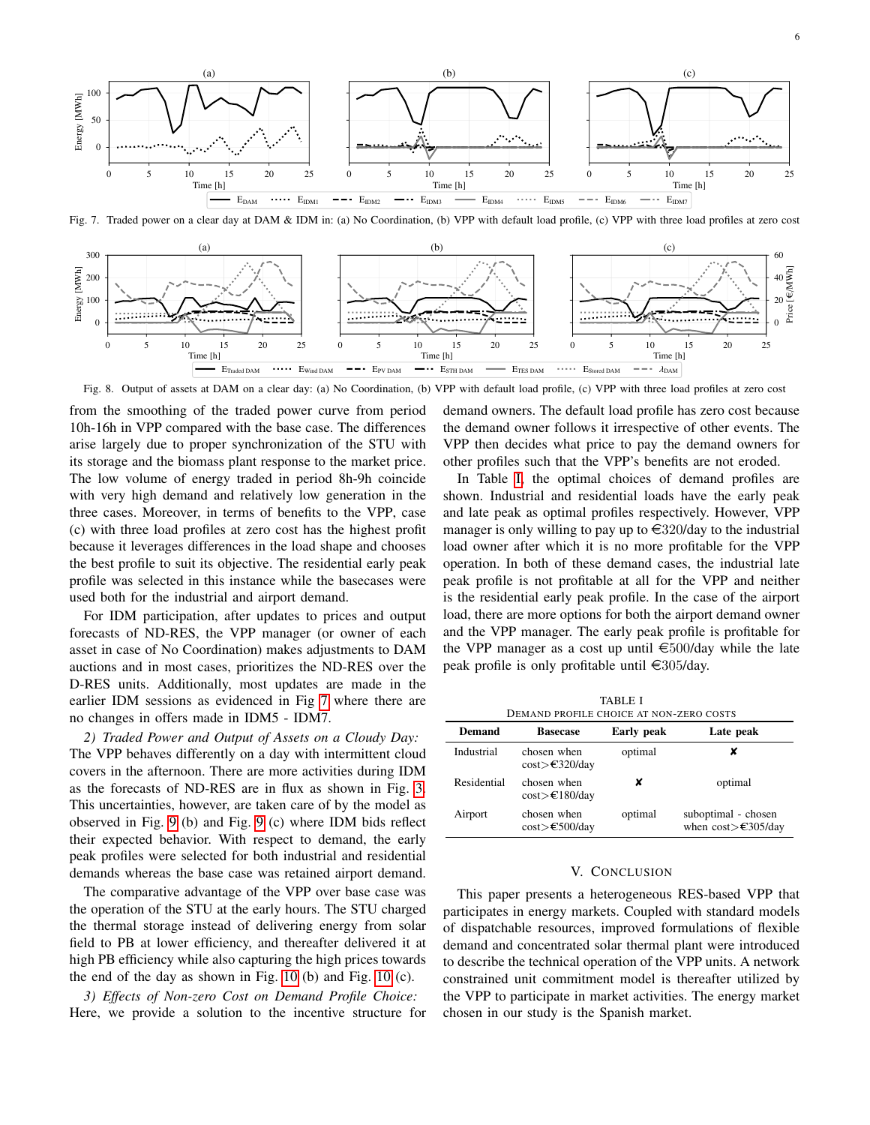

<span id="page-5-0"></span>Fig. 7. Traded power on a clear day at DAM & IDM in: (a) No Coordination, (b) VPP with default load profile, (c) VPP with three load profiles at zero cost



<span id="page-5-1"></span>Fig. 8. Output of assets at DAM on a clear day: (a) No Coordination, (b) VPP with default load profile, (c) VPP with three load profiles at zero cost

from the smoothing of the traded power curve from period 10h-16h in VPP compared with the base case. The differences arise largely due to proper synchronization of the STU with its storage and the biomass plant response to the market price. The low volume of energy traded in period 8h-9h coincide with very high demand and relatively low generation in the three cases. Moreover, in terms of benefits to the VPP, case (c) with three load profiles at zero cost has the highest profit because it leverages differences in the load shape and chooses the best profile to suit its objective. The residential early peak profile was selected in this instance while the basecases were used both for the industrial and airport demand.

For IDM participation, after updates to prices and output forecasts of ND-RES, the VPP manager (or owner of each asset in case of No Coordination) makes adjustments to DAM auctions and in most cases, prioritizes the ND-RES over the D-RES units. Additionally, most updates are made in the earlier IDM sessions as evidenced in Fig [7](#page-5-0) where there are no changes in offers made in IDM5 - IDM7.

*2) Traded Power and Output of Assets on a Cloudy Day:* The VPP behaves differently on a day with intermittent cloud covers in the afternoon. There are more activities during IDM as the forecasts of ND-RES are in flux as shown in Fig. [3.](#page-4-1) This uncertainties, however, are taken care of by the model as observed in Fig. [9](#page-6-19) (b) and Fig. [9](#page-6-19) (c) where IDM bids reflect their expected behavior. With respect to demand, the early peak profiles were selected for both industrial and residential demands whereas the base case was retained airport demand.

The comparative advantage of the VPP over base case was the operation of the STU at the early hours. The STU charged the thermal storage instead of delivering energy from solar field to PB at lower efficiency, and thereafter delivered it at high PB efficiency while also capturing the high prices towards the end of the day as shown in Fig. [10](#page-6-20) (b) and Fig. [10](#page-6-20) (c).

*3) Effects of Non-zero Cost on Demand Profile Choice:* Here, we provide a solution to the incentive structure for demand owners. The default load profile has zero cost because the demand owner follows it irrespective of other events. The VPP then decides what price to pay the demand owners for other profiles such that the VPP's benefits are not eroded.

In Table [I,](#page-5-2) the optimal choices of demand profiles are shown. Industrial and residential loads have the early peak and late peak as optimal profiles respectively. However, VPP manager is only willing to pay up to  $\text{E}320$ /day to the industrial load owner after which it is no more profitable for the VPP operation. In both of these demand cases, the industrial late peak profile is not profitable at all for the VPP and neither is the residential early peak profile. In the case of the airport load, there are more options for both the airport demand owner and the VPP manager. The early peak profile is profitable for the VPP manager as a cost up until  $\epsilon$ 500/day while the late peak profile is only profitable until  $\in$ 305/day.

<span id="page-5-2"></span>

| TABLE I<br>DEMAND PROFILE CHOICE AT NON-ZERO COSTS |                                                                 |            |                                                             |  |
|----------------------------------------------------|-----------------------------------------------------------------|------------|-------------------------------------------------------------|--|
| <b>Demand</b>                                      | <b>Basecase</b>                                                 | Early peak | Late peak                                                   |  |
| Industrial                                         | chosen when<br>$\cos t$ $\gtrsim$ $\frac{20}{\text{day}}$       | optimal    | x                                                           |  |
| Residential                                        | chosen when<br>$\cos t \geq \epsilon 180/\text{day}$            | x          | optimal                                                     |  |
| Airport                                            | chosen when<br>$\cos t \geq \text{\textsterling}500/\text{day}$ | optimal    | suboptimal - chosen<br>when $cost$ $\geq$ $\approx$ 305/day |  |

#### V. CONCLUSION

This paper presents a heterogeneous RES-based VPP that participates in energy markets. Coupled with standard models of dispatchable resources, improved formulations of flexible demand and concentrated solar thermal plant were introduced to describe the technical operation of the VPP units. A network constrained unit commitment model is thereafter utilized by the VPP to participate in market activities. The energy market chosen in our study is the Spanish market.